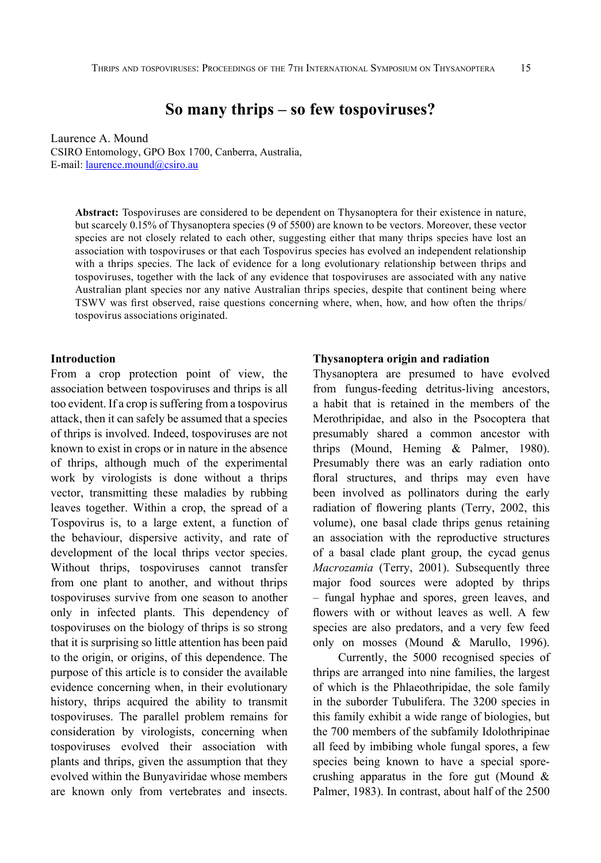# **So many thrips – so few tospoviruses?**

Laurence A. Mound CSIRO Entomology, GPO Box 1700, Canberra, Australia, E-mail: [laurence.mound@csiro.au](mailto:laurence.mound@csiro.au)

**Abstract:** Tospoviruses are considered to be dependent on Thysanoptera for their existence in nature, but scarcely 0.15% of Thysanoptera species (9 of 5500) are known to be vectors. Moreover, these vector species are not closely related to each other, suggesting either that many thrips species have lost an association with tospoviruses or that each Tospovirus species has evolved an independent relationship with a thrips species. The lack of evidence for a long evolutionary relationship between thrips and tospoviruses, together with the lack of any evidence that tospoviruses are associated with any native Australian plant species nor any native Australian thrips species, despite that continent being where TSWV was first observed, raise questions concerning where, when, how, and how often the thrips/ tospovirus associations originated.

#### **Introduction**

From a crop protection point of view, the association between tospoviruses and thrips is all too evident. If a crop is suffering from a tospovirus attack, then it can safely be assumed that a species of thrips is involved. Indeed, tospoviruses are not known to exist in crops or in nature in the absence of thrips, although much of the experimental work by virologists is done without a thrips vector, transmitting these maladies by rubbing leaves together. Within a crop, the spread of a Tospovirus is, to a large extent, a function of the behaviour, dispersive activity, and rate of development of the local thrips vector species. Without thrips, tospoviruses cannot transfer from one plant to another, and without thrips tospoviruses survive from one season to another only in infected plants. This dependency of tospoviruses on the biology of thrips is so strong that it is surprising so little attention has been paid to the origin, or origins, of this dependence. The purpose of this article is to consider the available evidence concerning when, in their evolutionary history, thrips acquired the ability to transmit tospoviruses. The parallel problem remains for consideration by virologists, concerning when tospoviruses evolved their association with plants and thrips, given the assumption that they evolved within the Bunyaviridae whose members are known only from vertebrates and insects.

# **Thysanoptera origin and radiation**

Thysanoptera are presumed to have evolved from fungus-feeding detritus-living ancestors, a habit that is retained in the members of the Merothripidae, and also in the Psocoptera that presumably shared a common ancestor with thrips (Mound, Heming & Palmer, 1980). Presumably there was an early radiation onto floral structures, and thrips may even have been involved as pollinators during the early radiation of flowering plants (Terry, 2002, this volume), one basal clade thrips genus retaining an association with the reproductive structures of a basal clade plant group, the cycad genus *Macrozamia* (Terry, 2001). Subsequently three major food sources were adopted by thrips – fungal hyphae and spores, green leaves, and flowers with or without leaves as well. A few species are also predators, and a very few feed only on mosses (Mound & Marullo, 1996).

Currently, the 5000 recognised species of thrips are arranged into nine families, the largest of which is the Phlaeothripidae, the sole family in the suborder Tubulifera. The 3200 species in this family exhibit a wide range of biologies, but the 700 members of the subfamily Idolothripinae all feed by imbibing whole fungal spores, a few species being known to have a special sporecrushing apparatus in the fore gut (Mound & Palmer, 1983). In contrast, about half of the 2500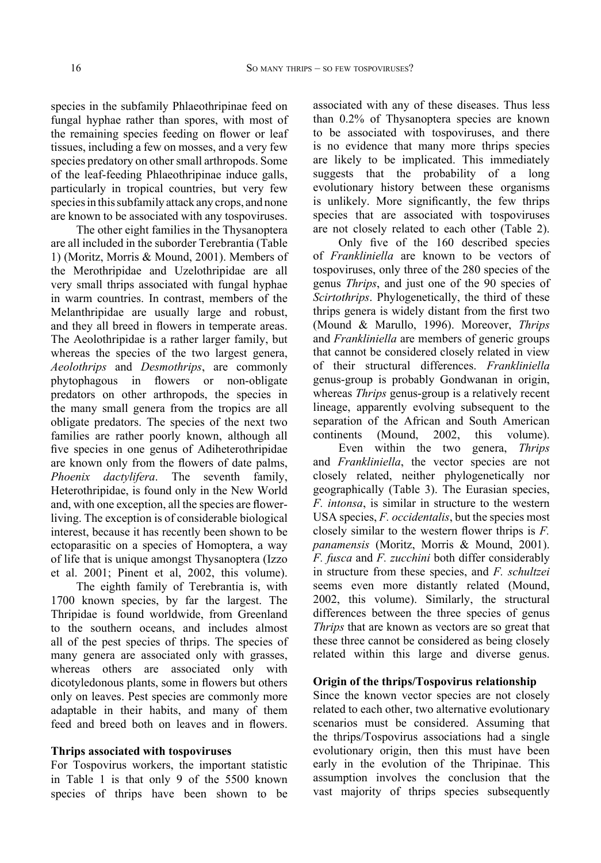species in the subfamily Phlaeothripinae feed on fungal hyphae rather than spores, with most of the remaining species feeding on flower or leaf tissues, including a few on mosses, and a very few species predatory on other small arthropods. Some of the leaf-feeding Phlaeothripinae induce galls, particularly in tropical countries, but very few species in this subfamily attack any crops, and none are known to be associated with any tospoviruses.

The other eight families in the Thysanoptera are all included in the suborder Terebrantia (Table 1) (Moritz, Morris & Mound, 2001). Members of the Merothripidae and Uzelothripidae are all very small thrips associated with fungal hyphae in warm countries. In contrast, members of the Melanthripidae are usually large and robust, and they all breed in flowers in temperate areas. The Aeolothripidae is a rather larger family, but whereas the species of the two largest genera, *Aeolothrips* and *Desmothrips*, are commonly phytophagous in flowers or non-obligate predators on other arthropods, the species in the many small genera from the tropics are all obligate predators. The species of the next two families are rather poorly known, although all five species in one genus of Adiheterothripidae are known only from the flowers of date palms, *Phoenix dactylifera*. The seventh family, Heterothripidae, is found only in the New World and, with one exception, all the species are flowerliving. The exception is of considerable biological interest, because it has recently been shown to be ectoparasitic on a species of Homoptera, a way of life that is unique amongst Thysanoptera (Izzo et al. 2001; Pinent et al, 2002, this volume).

The eighth family of Terebrantia is, with 1700 known species, by far the largest. The Thripidae is found worldwide, from Greenland to the southern oceans, and includes almost all of the pest species of thrips. The species of many genera are associated only with grasses, whereas others are associated only with dicotyledonous plants, some in flowers but others only on leaves. Pest species are commonly more adaptable in their habits, and many of them feed and breed both on leaves and in flowers.

### **Thrips associated with tospoviruses**

For Tospovirus workers, the important statistic in Table 1 is that only 9 of the 5500 known species of thrips have been shown to be associated with any of these diseases. Thus less than 0.2% of Thysanoptera species are known to be associated with tospoviruses, and there is no evidence that many more thrips species are likely to be implicated. This immediately suggests that the probability of a long evolutionary history between these organisms is unlikely. More significantly, the few thrips species that are associated with tospoviruses are not closely related to each other (Table 2).

Only five of the 160 described species of *Frankliniella* are known to be vectors of tospoviruses, only three of the 280 species of the genus *Thrips*, and just one of the 90 species of *Scirtothrips*. Phylogenetically, the third of these thrips genera is widely distant from the first two (Mound & Marullo, 1996). Moreover, *Thrips* and *Frankliniella* are members of generic groups that cannot be considered closely related in view of their structural differences. *Frankliniella* genus-group is probably Gondwanan in origin, whereas *Thrips* genus-group is a relatively recent lineage, apparently evolving subsequent to the separation of the African and South American continents (Mound, 2002, this volume).

Even within the two genera, *Thrips* and *Frankliniella*, the vector species are not closely related, neither phylogenetically nor geographically (Table 3). The Eurasian species, *F. intonsa*, is similar in structure to the western USA species, *F. occidentalis*, but the species most closely similar to the western flower thrips is *F. panamensis* (Moritz, Morris & Mound, 2001). *F. fusca* and *F. zucchini* both differ considerably in structure from these species, and *F. schultzei* seems even more distantly related (Mound, 2002, this volume). Similarly, the structural differences between the three species of genus *Thrips* that are known as vectors are so great that these three cannot be considered as being closely related within this large and diverse genus.

#### **Origin of the thrips/Tospovirus relationship**

Since the known vector species are not closely related to each other, two alternative evolutionary scenarios must be considered. Assuming that the thrips/Tospovirus associations had a single evolutionary origin, then this must have been early in the evolution of the Thripinae. This assumption involves the conclusion that the vast majority of thrips species subsequently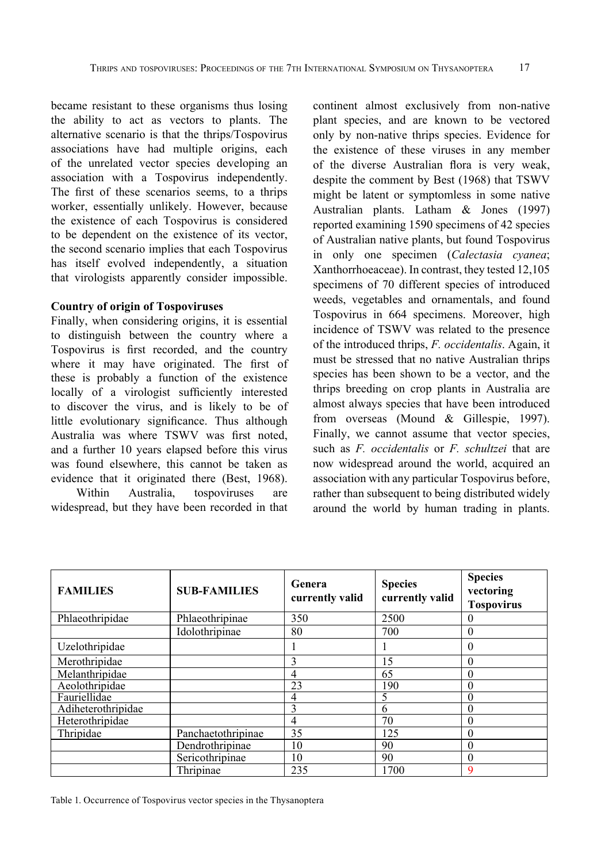became resistant to these organisms thus losing the ability to act as vectors to plants. The alternative scenario is that the thrips/Tospovirus associations have had multiple origins, each of the unrelated vector species developing an association with a Tospovirus independently. The first of these scenarios seems, to a thrips worker, essentially unlikely. However, because the existence of each Tospovirus is considered to be dependent on the existence of its vector, the second scenario implies that each Tospovirus has itself evolved independently, a situation that virologists apparently consider impossible.

# **Country of origin of Tospoviruses**

Finally, when considering origins, it is essential to distinguish between the country where a Tospovirus is first recorded, and the country where it may have originated. The first of these is probably a function of the existence locally of a virologist sufficiently interested to discover the virus, and is likely to be of little evolutionary significance. Thus although Australia was where TSWV was first noted, and a further 10 years elapsed before this virus was found elsewhere, this cannot be taken as evidence that it originated there (Best, 1968). Within Australia, tospoviruses are

widespread, but they have been recorded in that

continent almost exclusively from non-native plant species, and are known to be vectored only by non-native thrips species. Evidence for the existence of these viruses in any member of the diverse Australian flora is very weak, despite the comment by Best (1968) that TSWV might be latent or symptomless in some native Australian plants. Latham & Jones (1997) reported examining 1590 specimens of 42 species of Australian native plants, but found Tospovirus in only one specimen (*Calectasia cyanea*; Xanthorrhoeaceae). In contrast, they tested 12,105 specimens of 70 different species of introduced weeds, vegetables and ornamentals, and found Tospovirus in 664 specimens. Moreover, high incidence of TSWV was related to the presence of the introduced thrips, *F. occidentalis*. Again, it must be stressed that no native Australian thrips species has been shown to be a vector, and the thrips breeding on crop plants in Australia are almost always species that have been introduced from overseas (Mound & Gillespie, 1997). Finally, we cannot assume that vector species, such as *F. occidentalis* or *F. schultzei* that are now widespread around the world, acquired an association with any particular Tospovirus before, rather than subsequent to being distributed widely around the world by human trading in plants.

| <b>FAMILIES</b>    | <b>SUB-FAMILIES</b> | Genera<br>currently valid | <b>Species</b><br>currently valid | <b>Species</b><br>vectoring<br><b>Tospovirus</b> |
|--------------------|---------------------|---------------------------|-----------------------------------|--------------------------------------------------|
| Phlaeothripidae    | Phlaeothripinae     | 350                       | 2500                              | $\theta$                                         |
|                    | Idolothripinae      | 80                        | 700                               | 0                                                |
| Uzelothripidae     |                     |                           |                                   | 0                                                |
| Merothripidae      |                     | 3                         | 15                                | 0                                                |
| Melanthripidae     |                     | 4                         | 65                                | 0                                                |
| Aeolothripidae     |                     | 23                        | 190                               | 0                                                |
| Fauriellidae       |                     | 4                         |                                   | 0                                                |
| Adiheterothripidae |                     | 3                         | 6                                 | 0                                                |
| Heterothripidae    |                     | $\overline{4}$            | 70                                | 0                                                |
| Thripidae          | Panchaetothripinae  | 35                        | 125                               | 0                                                |
|                    | Dendrothripinae     | 10                        | 90                                | $\theta$                                         |
|                    | Sericothripinae     | 10                        | 90                                | 0                                                |
|                    | Thripinae           | 235                       | 1700                              | 9                                                |

Table 1. Occurrence of Tospovirus vector species in the Thysanoptera